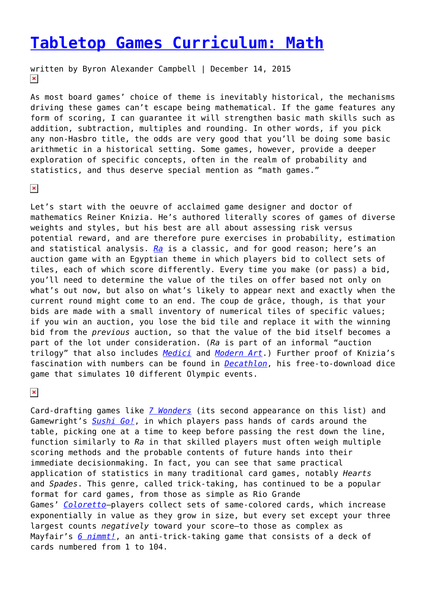## **[Tabletop Games Curriculum: Math](https://entropymag.org/tabletop-games-curriculum-math/)**

written by Byron Alexander Campbell | December 14, 2015  $\pmb{\times}$ 

As most board games' choice of theme is inevitably historical, the mechanisms driving these games can't escape being mathematical. If the game features any form of scoring, I can guarantee it will strengthen basic math skills such as addition, subtraction, multiples and rounding. In other words, if you pick any non-Hasbro title, the odds are very good that you'll be doing some basic arithmetic in a historical setting. Some games, however, provide a deeper exploration of specific concepts, often in the realm of probability and statistics, and thus deserve special mention as "math games."

 $\pmb{\times}$ 

Let's start with the oeuvre of acclaimed game designer and doctor of mathematics Reiner Knizia. He's authored literally scores of games of diverse weights and styles, but his best are all about assessing risk versus potential reward, and are therefore pure exercises in probability, estimation and statistical analysis. *[Ra](http://riograndegames.com/games.html?id=266)* is a classic, and for good reason; here's an auction game with an Egyptian theme in which players bid to collect sets of tiles, each of which score differently. Every time you make (or pass) a bid, you'll need to determine the value of the tiles on offer based not only on what's out now, but also on what's likely to appear next and exactly when the current round might come to an end. The coup de grâce, though, is that your bids are made with a small inventory of numerical tiles of specific values; if you win an auction, you lose the bid tile and replace it with the winning bid from the *previous* auction, so that the value of the bid itself becomes a part of the lot under consideration. (*Ra* is part of an informal "auction trilogy" that also includes *[Medici](http://riograndegames.com/games.html?id=137)* and *[Modern Art](https://www.mayfairgames.com/products/modern-art)*.) Further proof of Knizia's fascination with numbers can be found in *[Decathlon](http://knizia.de/wp-content/uploads/reiner/pdfs/Knizia-Website-Decathlon.pdf)*, his free-to-download dice game that simulates 10 different Olympic events.

 $\pmb{\times}$ 

Card-drafting games like *[7 Wonders](http://us.asmodee.com/ressources/jeux_versions/7-wonders_4.php)* (its second appearance on this list) and Gamewright's *[Sushi Go!](http://www.gamewright.com/gamewright/index.php?section=games&page=game&show=291)*, in which players pass hands of cards around the table, picking one at a time to keep before passing the rest down the line, function similarly to *Ra* in that skilled players must often weigh multiple scoring methods and the probable contents of future hands into their immediate decisionmaking. In fact, you can see that same practical application of statistics in many traditional card games, notably *Hearts* and *Spades*. This genre, called trick-taking, has continued to be a popular format for card games, from those as simple as Rio Grande Games' *[Coloretto](http://riograndegames.com/game/71-Coloretto)*–players collect sets of same-colored cards, which increase exponentially in value as they grow in size, but every set except your three largest counts *negatively* toward your score–to those as complex as Mayfair's *[6 nimmt!](https://www.mayfairgames.com/products/6-nimmt)*, an anti-trick-taking game that consists of a deck of cards numbered from 1 to 104.